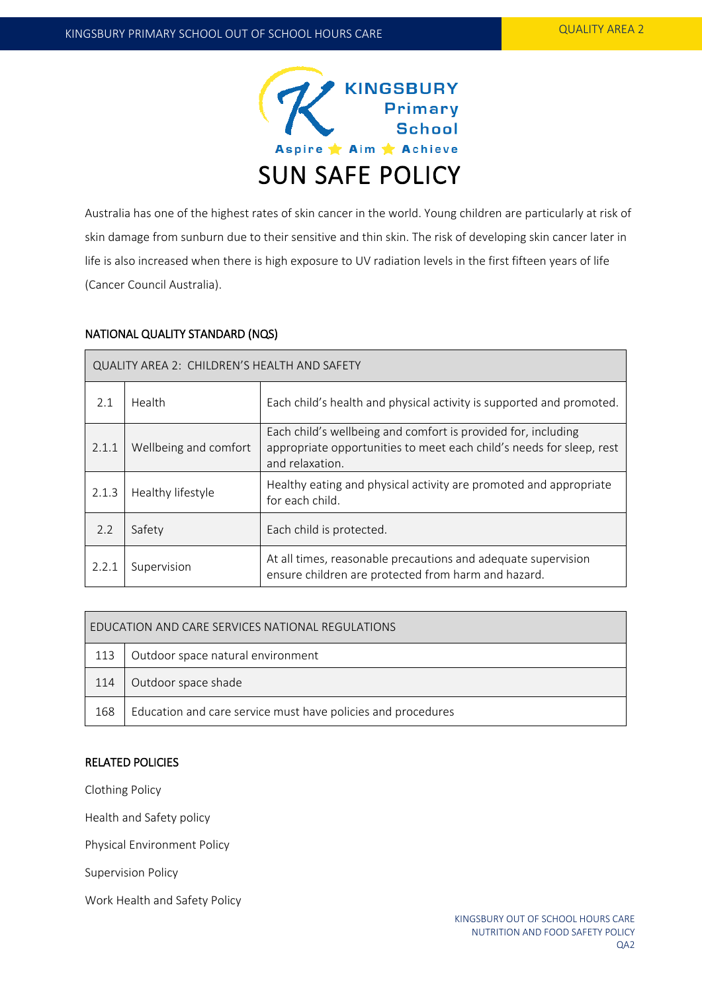

Australia has one of the highest rates of skin cancer in the world. Young children are particularly at risk of skin damage from sunburn due to their sensitive and thin skin. The risk of developing skin cancer later in life is also increased when there is high exposure to UV radiation levels in the first fifteen years of life (Cancer Council Australia).

## NATIONAL QUALITY STANDARD (NQS)

| QUALITY AREA 2: CHILDREN'S HEALTH AND SAFETY |                       |                                                                                                                                                          |  |  |
|----------------------------------------------|-----------------------|----------------------------------------------------------------------------------------------------------------------------------------------------------|--|--|
| 2.1                                          | Health                | Each child's health and physical activity is supported and promoted.                                                                                     |  |  |
| 2.1.1                                        | Wellbeing and comfort | Each child's wellbeing and comfort is provided for, including<br>appropriate opportunities to meet each child's needs for sleep, rest<br>and relaxation. |  |  |
| 2.1.3                                        | Healthy lifestyle     | Healthy eating and physical activity are promoted and appropriate<br>for each child.                                                                     |  |  |
| 2.2                                          | Safety                | Each child is protected.                                                                                                                                 |  |  |
| 2.2.1                                        | Supervision           | At all times, reasonable precautions and adequate supervision<br>ensure children are protected from harm and hazard.                                     |  |  |

| EDUCATION AND CARE SERVICES NATIONAL REGULATIONS |                                                              |  |  |  |
|--------------------------------------------------|--------------------------------------------------------------|--|--|--|
| 113                                              | Outdoor space natural environment                            |  |  |  |
| 114                                              | Outdoor space shade                                          |  |  |  |
| 168                                              | Education and care service must have policies and procedures |  |  |  |

### RELATED POLICIES

Clothing Policy

Health and Safety policy

Physical Environment Policy

Supervision Policy

Work Health and Safety Policy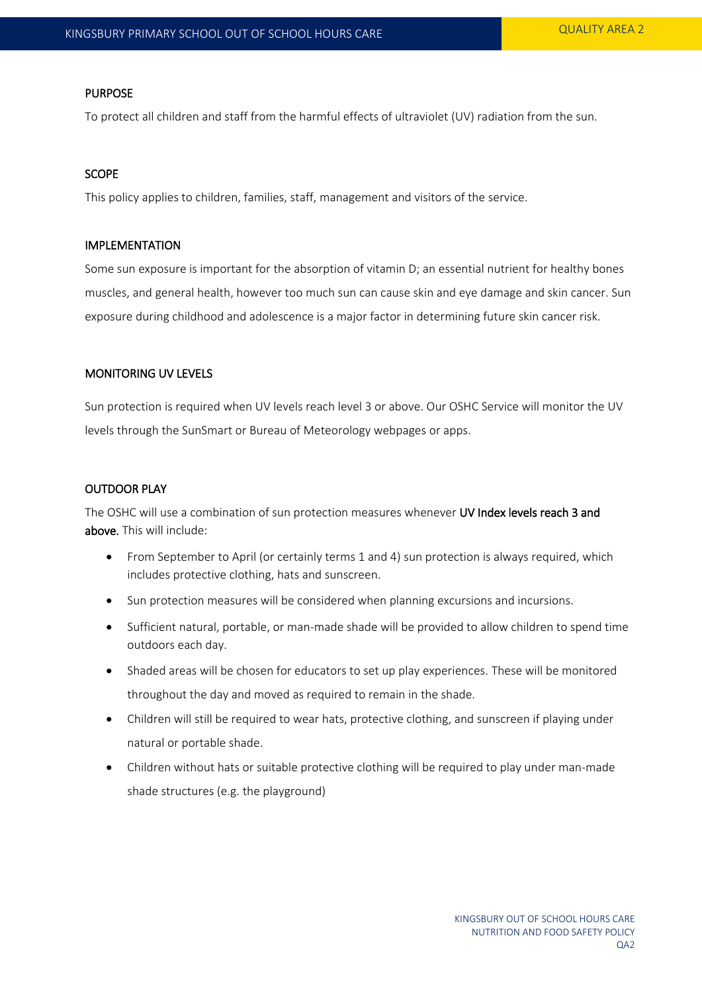### PURPOSE

To protect all children and staff from the harmful effects of ultraviolet (UV) radiation from the sun.

## **SCOPE**

This policy applies to children, families, staff, management and visitors of the service.

### IMPLEMENTATION

Some sun exposure is important for the absorption of vitamin D; an essential nutrient for healthy bones muscles, and general health, however too much sun can cause skin and eye damage and skin cancer. Sun exposure during childhood and adolescence is a major factor in determining future skin cancer risk.

## MONITORING UV LEVELS

Sun protection is required when UV levels reach level 3 or above. Our OSHC Service will monitor the UV levels through the SunSmart or Bureau of Meteorology webpages or apps.

# OUTDOOR PLAY

The OSHC will use a combination of sun protection measures whenever UV Index levels reach 3 and above. This will include:

- From September to April (or certainly terms 1 and 4) sun protection is always required, which includes protective clothing, hats and sunscreen.
- Sun protection measures will be considered when planning excursions and incursions.
- Sufficient natural, portable, or man-made shade will be provided to allow children to spend time outdoors each day.
- Shaded areas will be chosen for educators to set up play experiences. These will be monitored throughout the day and moved as required to remain in the shade.
- Children will still be required to wear hats, protective clothing, and sunscreen if playing under natural or portable shade.
- Children without hats or suitable protective clothing will be required to play under man-made shade structures (e.g. the playground)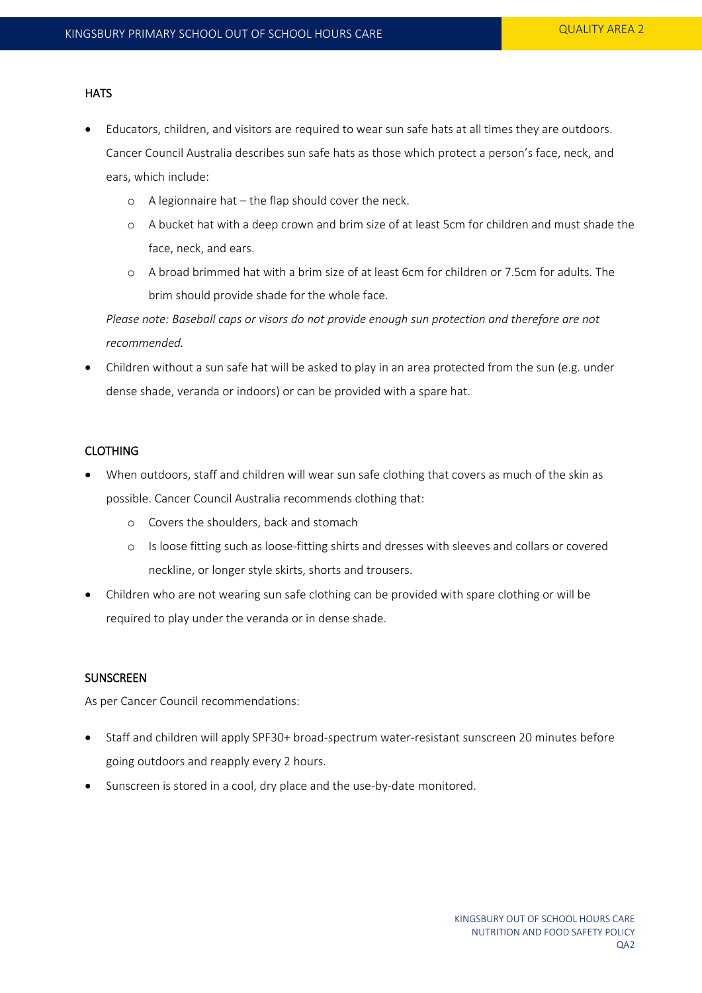## **HATS**

- Educators, children, and visitors are required to wear sun safe hats at all times they are outdoors. Cancer Council Australia describes sun safe hats as those which protect a person's face, neck, and ears, which include:
	- o A legionnaire hat the flap should cover the neck.
	- o A bucket hat with a deep crown and brim size of at least 5cm for children and must shade the face, neck, and ears.
	- o A broad brimmed hat with a brim size of at least 6cm for children or 7.5cm for adults. The brim should provide shade for the whole face.

*Please note: Baseball caps or visors do not provide enough sun protection and therefore are not recommended.* 

 Children without a sun safe hat will be asked to play in an area protected from the sun (e.g. under dense shade, veranda or indoors) or can be provided with a spare hat.

# CLOTHING

- When outdoors, staff and children will wear sun safe clothing that covers as much of the skin as possible. Cancer Council Australia recommends clothing that:
	- o Covers the shoulders, back and stomach
	- o Is loose fitting such as loose-fitting shirts and dresses with sleeves and collars or covered neckline, or longer style skirts, shorts and trousers.
- Children who are not wearing sun safe clothing can be provided with spare clothing or will be required to play under the veranda or in dense shade.

# SUNSCREEN

As per Cancer Council recommendations:

- Staff and children will apply SPF30+ broad-spectrum water-resistant sunscreen 20 minutes before going outdoors and reapply every 2 hours.
- Sunscreen is stored in a cool, dry place and the use-by-date monitored.